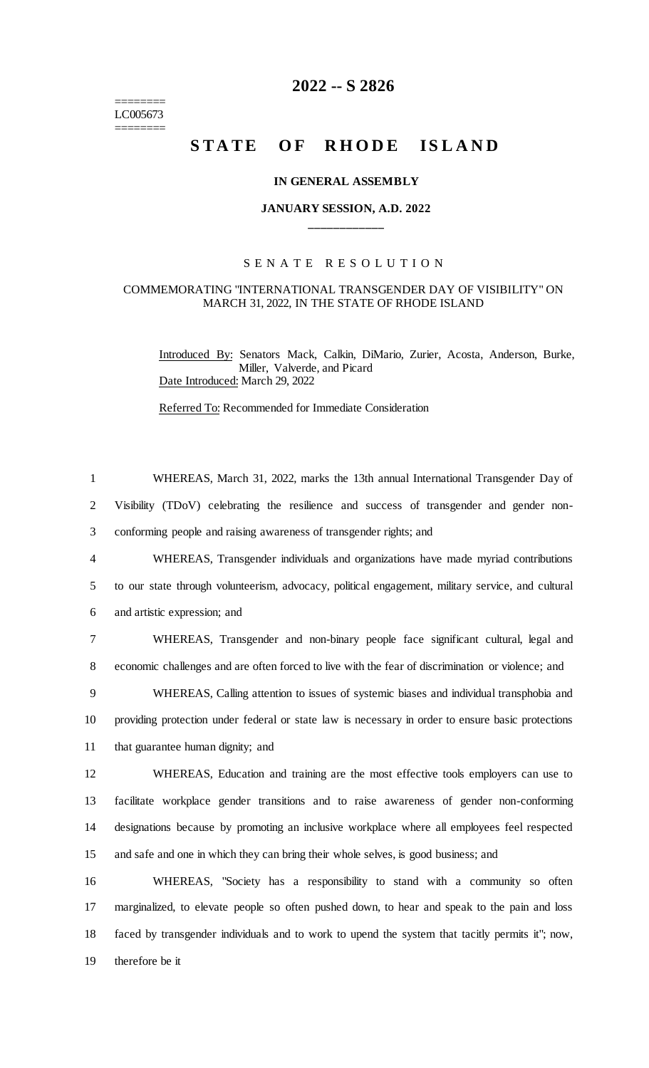======== LC005673 ========

## **2022 -- S 2826**

# STATE OF RHODE ISLAND

#### **IN GENERAL ASSEMBLY**

## **JANUARY SESSION, A.D. 2022 \_\_\_\_\_\_\_\_\_\_\_\_**

## S E N A T E R E S O L U T I O N

### COMMEMORATING "INTERNATIONAL TRANSGENDER DAY OF VISIBILITY" ON MARCH 31, 2022, IN THE STATE OF RHODE ISLAND

Introduced By: Senators Mack, Calkin, DiMario, Zurier, Acosta, Anderson, Burke, Miller, Valverde, and Picard Date Introduced: March 29, 2022

Referred To: Recommended for Immediate Consideration

| $\mathbf{1}$   | WHEREAS, March 31, 2022, marks the 13th annual International Transgender Day of                   |
|----------------|---------------------------------------------------------------------------------------------------|
| $\overline{2}$ | Visibility (TDoV) celebrating the resilience and success of transgender and gender non-           |
| 3              | conforming people and raising awareness of transgender rights; and                                |
| $\overline{4}$ | WHEREAS, Transgender individuals and organizations have made myriad contributions                 |
| 5              | to our state through volunteerism, advocacy, political engagement, military service, and cultural |
| 6              | and artistic expression; and                                                                      |
| 7              | WHEREAS, Transgender and non-binary people face significant cultural, legal and                   |
| 8              | economic challenges and are often forced to live with the fear of discrimination or violence; and |
| 9              | WHEREAS, Calling attention to issues of systemic biases and individual transphobia and            |
| 10             | providing protection under federal or state law is necessary in order to ensure basic protections |
| 11             | that guarantee human dignity; and                                                                 |
| 12             | WHEREAS, Education and training are the most effective tools employers can use to                 |
| 13             | facilitate workplace gender transitions and to raise awareness of gender non-conforming           |
| 14             | designations because by promoting an inclusive workplace where all employees feel respected       |
| 15             | and safe and one in which they can bring their whole selves, is good business; and                |
| 16             | WHEREAS, "Society has a responsibility to stand with a community so often                         |
| 17             | marginalized, to elevate people so often pushed down, to hear and speak to the pain and loss      |
| 18             | faced by transgender individuals and to work to upend the system that tacitly permits it"; now,   |
| 19             | therefore be it                                                                                   |